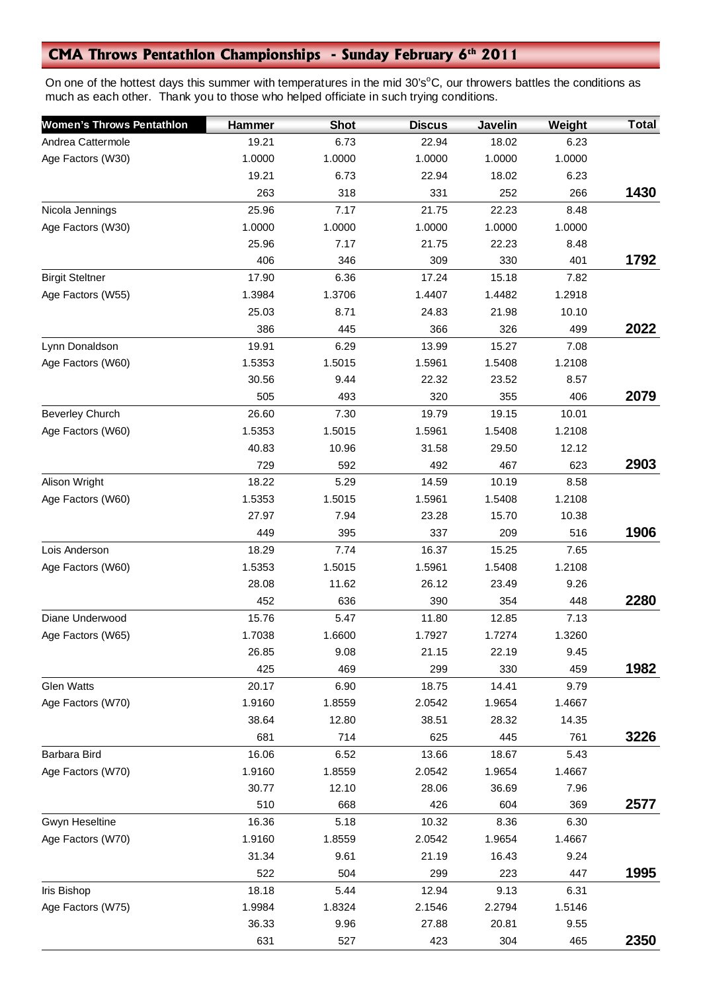## **CMA Throws Pentathlon Championships - Sunday February 6th 2011**

On one of the hottest days this summer with temperatures in the mid 30's<sup>o</sup>C, our throwers battles the conditions as much as each other. Thank you to those who helped officiate in such trying conditions.

| <b>Women's Throws Pentathlon</b> | Hammer | <b>Shot</b> | <b>Discus</b> | <b>Javelin</b> | Weight | <b>Total</b> |
|----------------------------------|--------|-------------|---------------|----------------|--------|--------------|
| Andrea Cattermole                | 19.21  | 6.73        | 22.94         | 18.02          | 6.23   |              |
| Age Factors (W30)                | 1.0000 | 1.0000      | 1.0000        | 1.0000         | 1.0000 |              |
|                                  | 19.21  | 6.73        | 22.94         | 18.02          | 6.23   |              |
|                                  | 263    | 318         | 331           | 252            | 266    | 1430         |
| Nicola Jennings                  | 25.96  | 7.17        | 21.75         | 22.23          | 8.48   |              |
| Age Factors (W30)                | 1.0000 | 1.0000      | 1.0000        | 1.0000         | 1.0000 |              |
|                                  | 25.96  | 7.17        | 21.75         | 22.23          | 8.48   |              |
|                                  | 406    | 346         | 309           | 330            | 401    | 1792         |
| <b>Birgit Steltner</b>           | 17.90  | 6.36        | 17.24         | 15.18          | 7.82   |              |
| Age Factors (W55)                | 1.3984 | 1.3706      | 1.4407        | 1.4482         | 1.2918 |              |
|                                  | 25.03  | 8.71        | 24.83         | 21.98          | 10.10  |              |
|                                  | 386    | 445         | 366           | 326            | 499    | 2022         |
| Lynn Donaldson                   | 19.91  | 6.29        | 13.99         | 15.27          | 7.08   |              |
| Age Factors (W60)                | 1.5353 | 1.5015      | 1.5961        | 1.5408         | 1.2108 |              |
|                                  | 30.56  | 9.44        | 22.32         | 23.52          | 8.57   |              |
|                                  | 505    | 493         | 320           | 355            | 406    | 2079         |
| <b>Beverley Church</b>           | 26.60  | 7.30        | 19.79         | 19.15          | 10.01  |              |
| Age Factors (W60)                | 1.5353 | 1.5015      | 1.5961        | 1.5408         | 1.2108 |              |
|                                  | 40.83  | 10.96       | 31.58         | 29.50          | 12.12  |              |
|                                  | 729    | 592         | 492           | 467            | 623    | 2903         |
| Alison Wright                    | 18.22  | 5.29        | 14.59         | 10.19          | 8.58   |              |
| Age Factors (W60)                | 1.5353 | 1.5015      | 1.5961        | 1.5408         | 1.2108 |              |
|                                  | 27.97  | 7.94        | 23.28         | 15.70          | 10.38  |              |
|                                  | 449    | 395         | 337           | 209            | 516    | 1906         |
| Lois Anderson                    | 18.29  | 7.74        | 16.37         | 15.25          | 7.65   |              |
| Age Factors (W60)                | 1.5353 | 1.5015      | 1.5961        | 1.5408         | 1.2108 |              |
|                                  | 28.08  | 11.62       | 26.12         | 23.49          | 9.26   |              |
|                                  | 452    | 636         | 390           | 354            | 448    | 2280         |
| Diane Underwood                  | 15.76  | 5.47        | 11.80         | 12.85          | 7.13   |              |
| Age Factors (W65)                | 1.7038 | 1.6600      | 1.7927        | 1.7274         | 1.3260 |              |
|                                  | 26.85  | 9.08        | 21.15         | 22.19          | 9.45   |              |
|                                  | 425    | 469         | 299           | 330            | 459    | 1982         |
| <b>Glen Watts</b>                | 20.17  | 6.90        | 18.75         | 14.41          | 9.79   |              |
| Age Factors (W70)                | 1.9160 | 1.8559      | 2.0542        | 1.9654         | 1.4667 |              |
|                                  | 38.64  | 12.80       | 38.51         | 28.32          | 14.35  |              |
|                                  | 681    | 714         | 625           | 445            | 761    | 3226         |
| Barbara Bird                     | 16.06  | 6.52        | 13.66         | 18.67          | 5.43   |              |
| Age Factors (W70)                | 1.9160 | 1.8559      | 2.0542        | 1.9654         | 1.4667 |              |
|                                  | 30.77  | 12.10       | 28.06         | 36.69          | 7.96   |              |
|                                  | 510    | 668         | 426           | 604            | 369    | 2577         |
| Gwyn Heseltine                   | 16.36  | 5.18        | 10.32         | 8.36           | 6.30   |              |
| Age Factors (W70)                | 1.9160 | 1.8559      | 2.0542        | 1.9654         | 1.4667 |              |
|                                  | 31.34  | 9.61        | 21.19         | 16.43          | 9.24   |              |
|                                  | 522    | 504         | 299           | 223            | 447    | 1995         |
| Iris Bishop                      | 18.18  | 5.44        | 12.94         | 9.13           | 6.31   |              |
| Age Factors (W75)                | 1.9984 | 1.8324      | 2.1546        | 2.2794         | 1.5146 |              |
|                                  | 36.33  | 9.96        | 27.88         | 20.81          | 9.55   |              |
|                                  | 631    | 527         | 423           | 304            | 465    | 2350         |